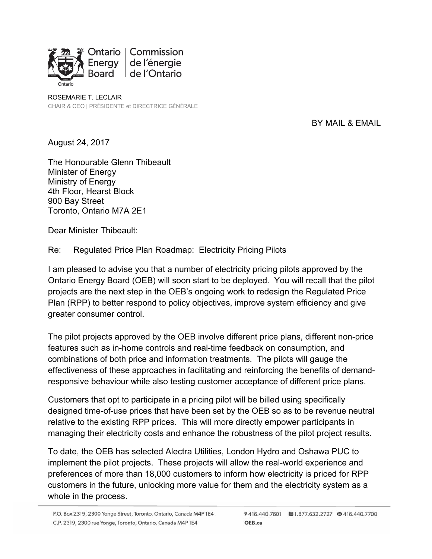

ROSEMARIE T. LECLAIR CHAIR & CEO | PRÉSIDENTE et DIRECTRICE GÉNÉRALE

## BY MAIL & EMAIL

August 24, 2017

The Honourable Glenn Thibeault Minister of Energy Ministry of Energy 4th Floor, Hearst Block 900 Bay Street Toronto, Ontario M7A 2E1

Dear Minister Thibeault:

## Re: Regulated Price Plan Roadmap: Electricity Pricing Pilots

I am pleased to advise you that a number of electricity pricing pilots approved by the Ontario Energy Board (OEB) will soon start to be deployed. You will recall that the pilot projects are the next step in the OEB's ongoing work to redesign the Regulated Price Plan (RPP) to better respond to policy objectives, improve system efficiency and give greater consumer control.

The pilot projects approved by the OEB involve different price plans, different non-price features such as in-home controls and real-time feedback on consumption, and combinations of both price and information treatments. The pilots will gauge the effectiveness of these approaches in facilitating and reinforcing the benefits of demandresponsive behaviour while also testing customer acceptance of different price plans.

Customers that opt to participate in a pricing pilot will be billed using specifically designed time-of-use prices that have been set by the OEB so as to be revenue neutral relative to the existing RPP prices. This will more directly empower participants in managing their electricity costs and enhance the robustness of the pilot project results.

To date, the OEB has selected Alectra Utilities, London Hydro and Oshawa PUC to implement the pilot projects. These projects will allow the real-world experience and preferences of more than 18,000 customers to inform how electricity is priced for RPP customers in the future, unlocking more value for them and the electricity system as a whole in the process.